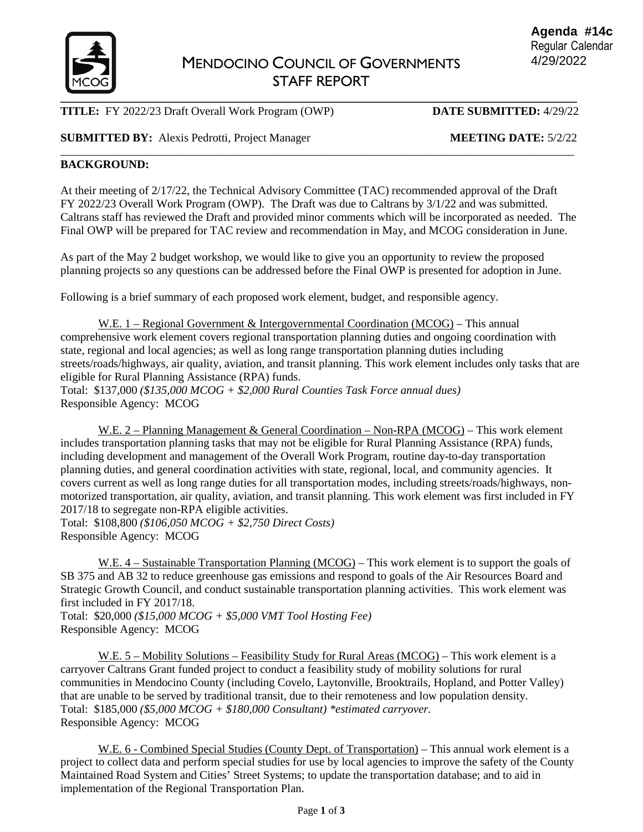

# **TITLE:** FY 2022/23 Draft Overall Work Program (OWP) **DATE SUBMITTED:** 4/29/22

# **SUBMITTED BY:** Alexis Pedrotti, Project Manager MEETING DATE: 5/2/22

### **BACKGROUND:**

At their meeting of 2/17/22, the Technical Advisory Committee (TAC) recommended approval of the Draft FY 2022/23 Overall Work Program (OWP). The Draft was due to Caltrans by 3/1/22 and was submitted. Caltrans staff has reviewed the Draft and provided minor comments which will be incorporated as needed. The Final OWP will be prepared for TAC review and recommendation in May, and MCOG consideration in June.

\_\_\_\_\_\_\_\_\_\_\_\_\_\_\_\_\_\_\_\_\_\_\_\_\_\_\_\_\_\_\_\_\_\_\_\_\_\_\_\_\_\_\_\_\_\_\_\_\_\_\_\_\_\_\_\_\_\_\_\_\_\_\_\_\_\_\_\_\_\_\_\_\_\_\_\_\_\_\_\_\_\_\_\_\_\_\_\_\_

As part of the May 2 budget workshop, we would like to give you an opportunity to review the proposed planning projects so any questions can be addressed before the Final OWP is presented for adoption in June.

Following is a brief summary of each proposed work element, budget, and responsible agency.

W.E. 1 – Regional Government & Intergovernmental Coordination (MCOG) – This annual comprehensive work element covers regional transportation planning duties and ongoing coordination with state, regional and local agencies; as well as long range transportation planning duties including streets/roads/highways, air quality, aviation, and transit planning. This work element includes only tasks that are eligible for Rural Planning Assistance (RPA) funds. Total: \$137,000 *(\$135,000 MCOG + \$2,000 Rural Counties Task Force annual dues)* 

Responsible Agency: MCOG

W.E. 2 – Planning Management & General Coordination – Non-RPA (MCOG) – This work element includes transportation planning tasks that may not be eligible for Rural Planning Assistance (RPA) funds, including development and management of the Overall Work Program, routine day-to-day transportation planning duties, and general coordination activities with state, regional, local, and community agencies. It covers current as well as long range duties for all transportation modes, including streets/roads/highways, nonmotorized transportation, air quality, aviation, and transit planning. This work element was first included in FY 2017/18 to segregate non-RPA eligible activities.

Total: \$108,800 *(\$106,050 MCOG + \$2,750 Direct Costs)* Responsible Agency: MCOG

W.E. 4 – Sustainable Transportation Planning (MCOG) – This work element is to support the goals of SB 375 and AB 32 to reduce greenhouse gas emissions and respond to goals of the Air Resources Board and Strategic Growth Council, and conduct sustainable transportation planning activities. This work element was first included in FY 2017/18.

Total: \$20,000 *(\$15,000 MCOG + \$5,000 VMT Tool Hosting Fee)* Responsible Agency: MCOG

W.E. 5 – Mobility Solutions – Feasibility Study for Rural Areas (MCOG) – This work element is a carryover Caltrans Grant funded project to conduct a feasibility study of mobility solutions for rural communities in Mendocino County (including Covelo, Laytonville, Brooktrails, Hopland, and Potter Valley) that are unable to be served by traditional transit, due to their remoteness and low population density. Total: \$185,000 *(\$5,000 MCOG + \$180,000 Consultant) \*estimated carryover.* Responsible Agency: MCOG

W.E. 6 - Combined Special Studies (County Dept. of Transportation) – This annual work element is a project to collect data and perform special studies for use by local agencies to improve the safety of the County Maintained Road System and Cities' Street Systems; to update the transportation database; and to aid in implementation of the Regional Transportation Plan.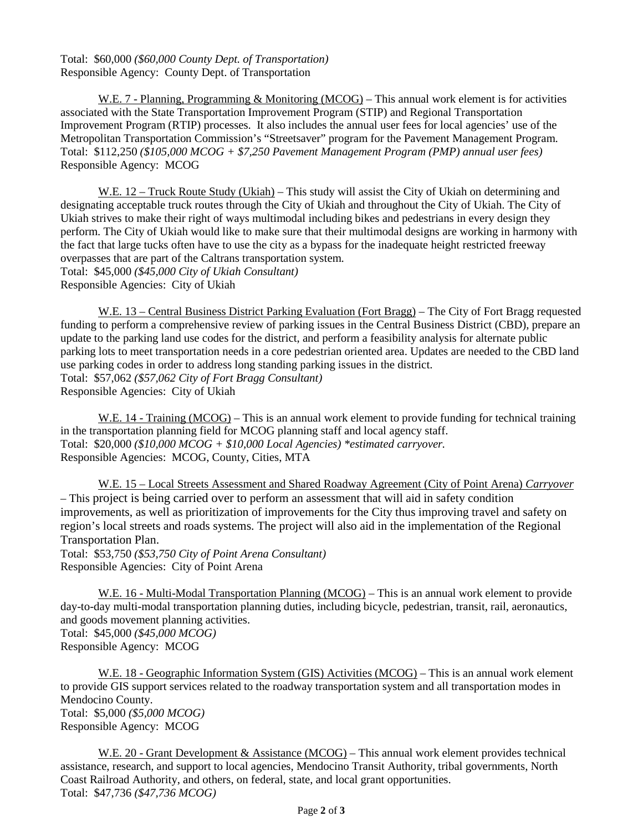Total: \$60,000 *(\$60,000 County Dept. of Transportation)* Responsible Agency: County Dept. of Transportation

W.E. 7 - Planning, Programming & Monitoring (MCOG) – This annual work element is for activities associated with the State Transportation Improvement Program (STIP) and Regional Transportation Improvement Program (RTIP) processes. It also includes the annual user fees for local agencies' use of the Metropolitan Transportation Commission's "Streetsaver" program for the Pavement Management Program. Total: \$112,250 *(\$105,000 MCOG + \$7,250 Pavement Management Program (PMP) annual user fees)* Responsible Agency: MCOG

W.E. 12 – Truck Route Study (Ukiah) – This study will assist the City of Ukiah on determining and designating acceptable truck routes through the City of Ukiah and throughout the City of Ukiah. The City of Ukiah strives to make their right of ways multimodal including bikes and pedestrians in every design they perform. The City of Ukiah would like to make sure that their multimodal designs are working in harmony with the fact that large tucks often have to use the city as a bypass for the inadequate height restricted freeway overpasses that are part of the Caltrans transportation system.

Total: \$45,000 *(\$45,000 City of Ukiah Consultant)* Responsible Agencies: City of Ukiah

W.E. 13 – Central Business District Parking Evaluation (Fort Bragg) – The City of Fort Bragg requested funding to perform a comprehensive review of parking issues in the Central Business District (CBD), prepare an update to the parking land use codes for the district, and perform a feasibility analysis for alternate public parking lots to meet transportation needs in a core pedestrian oriented area. Updates are needed to the CBD land use parking codes in order to address long standing parking issues in the district. Total: \$57,062 *(\$57,062 City of Fort Bragg Consultant)* Responsible Agencies: City of Ukiah

W.E. 14 - Training (MCOG) – This is an annual work element to provide funding for technical training in the transportation planning field for MCOG planning staff and local agency staff. Total: \$20,000 *(\$10,000 MCOG + \$10,000 Local Agencies) \*estimated carryover.* Responsible Agencies: MCOG, County, Cities, MTA

W.E. 15 – Local Streets Assessment and Shared Roadway Agreement (City of Point Arena) *Carryover* – This project is being carried over to perform an assessment that will aid in safety condition improvements, as well as prioritization of improvements for the City thus improving travel and safety on region's local streets and roads systems. The project will also aid in the implementation of the Regional Transportation Plan.

Total: \$53,750 *(\$53,750 City of Point Arena Consultant)*  Responsible Agencies: City of Point Arena

W.E. 16 - Multi-Modal Transportation Planning (MCOG) – This is an annual work element to provide day-to-day multi-modal transportation planning duties, including bicycle, pedestrian, transit, rail, aeronautics, and goods movement planning activities. Total: \$45,000 *(\$45,000 MCOG)*  Responsible Agency: MCOG

W.E. 18 - Geographic Information System (GIS) Activities (MCOG) – This is an annual work element to provide GIS support services related to the roadway transportation system and all transportation modes in Mendocino County. Total: \$5,000 *(\$5,000 MCOG)* Responsible Agency: MCOG

W.E. 20 - Grant Development & Assistance (MCOG) – This annual work element provides technical assistance, research, and support to local agencies, Mendocino Transit Authority, tribal governments, North Coast Railroad Authority, and others, on federal, state, and local grant opportunities. Total: \$47,736 *(\$47,736 MCOG)*